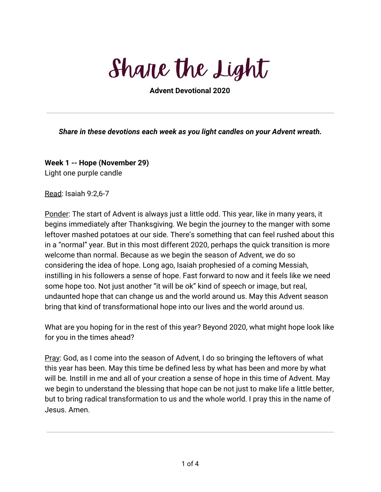Share the Light

**Advent Devotional 2020**

*Share in these devotions each week as you light candles on your Advent wreath.*

**Week 1 -- Hope (November 29)** Light one purple candle

Read: Isaiah 9:2,6-7

Ponder: The start of Advent is always just a little odd. This year, like in many years, it begins immediately after Thanksgiving. We begin the journey to the manger with some leftover mashed potatoes at our side. There's something that can feel rushed about this in a "normal" year. But in this most different 2020, perhaps the quick transition is more welcome than normal. Because as we begin the season of Advent, we do so considering the idea of hope. Long ago, Isaiah prophesied of a coming Messiah, instilling in his followers a sense of hope. Fast forward to now and it feels like we need some hope too. Not just another "it will be ok" kind of speech or image, but real, undaunted hope that can change us and the world around us. May this Advent season bring that kind of transformational hope into our lives and the world around us.

What are you hoping for in the rest of this year? Beyond 2020, what might hope look like for you in the times ahead?

Pray: God, as I come into the season of Advent, I do so bringing the leftovers of what this year has been. May this time be defined less by what has been and more by what will be. Instill in me and all of your creation a sense of hope in this time of Advent. May we begin to understand the blessing that hope can be not just to make life a little better, but to bring radical transformation to us and the whole world. I pray this in the name of Jesus. Amen.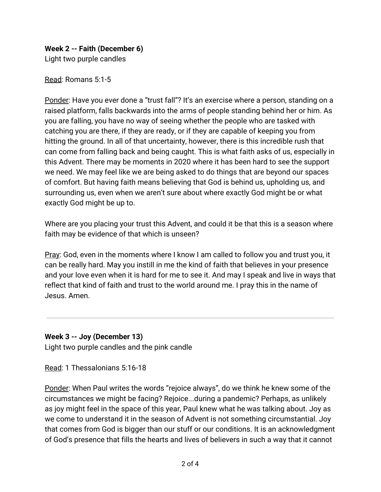# **Week 2 -- Faith (December 6)**

Light two purple candles

Read: Romans 5:1-5

Ponder: Have you ever done a "trust fall"? It's an exercise where a person, standing on a raised platform, falls backwards into the arms of people standing behind her or him. As you are falling, you have no way of seeing whether the people who are tasked with catching you are there, if they are ready, or if they are capable of keeping you from hitting the ground. In all of that uncertainty, however, there is this incredible rush that can come from falling back and being caught. This is what faith asks of us, especially in this Advent. There may be moments in 2020 where it has been hard to see the support we need. We may feel like we are being asked to do things that are beyond our spaces of comfort. But having faith means believing that God is behind us, upholding us, and surrounding us, even when we aren't sure about where exactly God might be or what exactly God might be up to.

Where are you placing your trust this Advent, and could it be that this is a season where faith may be evidence of that which is unseen?

Pray: God, even in the moments where I know I am called to follow you and trust you, it can be really hard. May you instill in me the kind of faith that believes in your presence and your love even when it is hard for me to see it. And may I speak and live in ways that reflect that kind of faith and trust to the world around me. I pray this in the name of Jesus. Amen.

# **Week 3 -- Joy (December 13)**

Light two purple candles and the pink candle

Read: 1 Thessalonians 5:16-18

Ponder: When Paul writes the words "rejoice always", do we think he knew some of the circumstances we might be facing? Rejoice...during a pandemic? Perhaps, as unlikely as joy might feel in the space of this year, Paul knew what he was talking about. Joy as we come to understand it in the season of Advent is not something circumstantial. Joy that comes from God is bigger than our stuff or our conditions. It is an acknowledgment of God's presence that fills the hearts and lives of believers in such a way that it cannot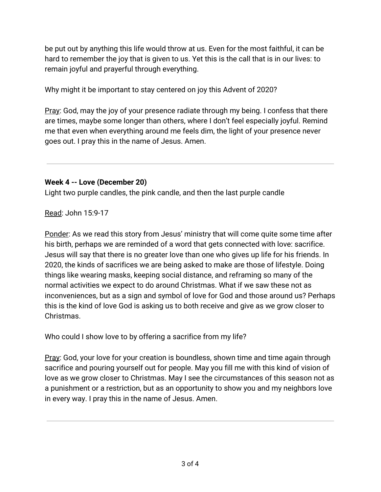be put out by anything this life would throw at us. Even for the most faithful, it can be hard to remember the joy that is given to us. Yet this is the call that is in our lives: to remain joyful and prayerful through everything.

Why might it be important to stay centered on joy this Advent of 2020?

Pray: God, may the joy of your presence radiate through my being. I confess that there are times, maybe some longer than others, where I don't feel especially joyful. Remind me that even when everything around me feels dim, the light of your presence never goes out. I pray this in the name of Jesus. Amen.

### **Week 4 -- Love (December 20)**

Light two purple candles, the pink candle, and then the last purple candle

Read: John 15:9-17

Ponder: As we read this story from Jesus' ministry that will come quite some time after his birth, perhaps we are reminded of a word that gets connected with love: sacrifice. Jesus will say that there is no greater love than one who gives up life for his friends. In 2020, the kinds of sacrifices we are being asked to make are those of lifestyle. Doing things like wearing masks, keeping social distance, and reframing so many of the normal activities we expect to do around Christmas. What if we saw these not as inconveniences, but as a sign and symbol of love for God and those around us? Perhaps this is the kind of love God is asking us to both receive and give as we grow closer to Christmas.

Who could I show love to by offering a sacrifice from my life?

Pray: God, your love for your creation is boundless, shown time and time again through sacrifice and pouring yourself out for people. May you fill me with this kind of vision of love as we grow closer to Christmas. May I see the circumstances of this season not as a punishment or a restriction, but as an opportunity to show you and my neighbors love in every way. I pray this in the name of Jesus. Amen.